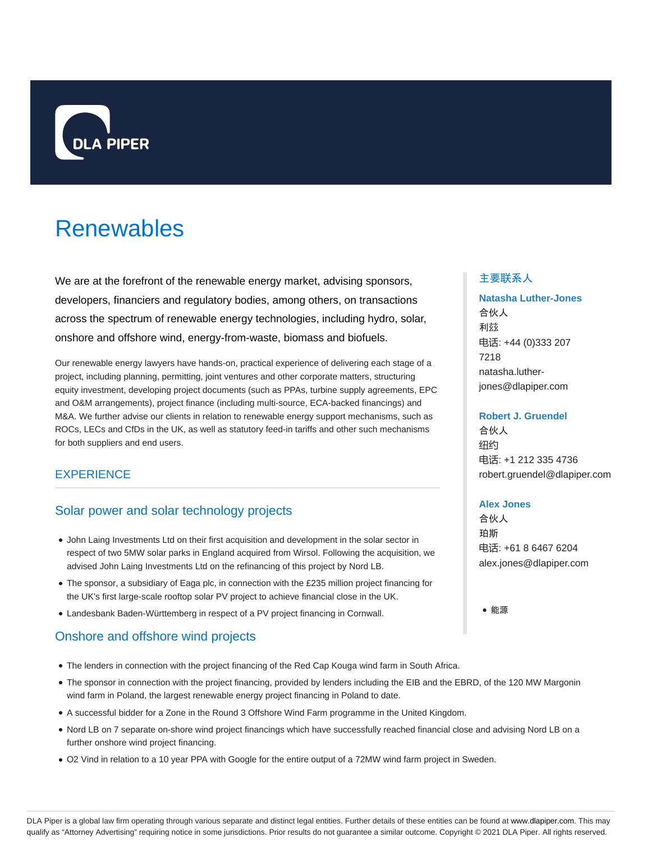

# Renewables

We are at the forefront of the renewable energy market, advising sponsors, developers, financiers and regulatory bodies, among others, on transactions across the spectrum of renewable energy technologies, including hydro, solar, onshore and offshore wind, energy-from-waste, biomass and biofuels.

Our renewable energy lawyers have hands-on, practical experience of delivering each stage of a project, including planning, permitting, joint ventures and other corporate matters, structuring equity investment, developing project documents (such as PPAs, turbine supply agreements, EPC and O&M arrangements), project finance (including multi-source, ECA-backed financings) and M&A. We further advise our clients in relation to renewable energy support mechanisms, such as ROCs, LECs and CfDs in the UK, as well as statutory feed-in tariffs and other such mechanisms for both suppliers and end users.

# **EXPERIENCE**

# Solar power and solar technology projects

- John Laing Investments Ltd on their first acquisition and development in the solar sector in respect of two 5MW solar parks in England acquired from Wirsol. Following the acquisition, we advised John Laing Investments Ltd on the refinancing of this project by Nord LB.
- The sponsor, a subsidiary of Eaga plc, in connection with the £235 million project financing for the UK's first large-scale rooftop solar PV project to achieve financial close in the UK.
- Landesbank Baden-Württemberg in respect of a PV project financing in Cornwall.

# Onshore and offshore wind projects

- The lenders in connection with the project financing of the Red Cap Kouga wind farm in South Africa.
- The sponsor in connection with the project financing, provided by lenders including the EIB and the EBRD, of the 120 MW Margonin wind farm in Poland, the largest renewable energy project financing in Poland to date.
- A successful bidder for a Zone in the Round 3 Offshore Wind Farm programme in the United Kingdom.
- Nord LB on 7 separate on-shore wind project financings which have successfully reached financial close and advising Nord LB on a further onshore wind project financing.
- O2 Vind in relation to a 10 year PPA with Google for the entire output of a 72MW wind farm project in Sweden.

#### 主要联系人

# **Natasha Luther-Jones** 合伙人 利兹 电话: +44 (0)333 207

7218 natasha.lutherjones@dlapiper.com

#### **Robert J. Gruendel**

合伙人 纽约 电话: +1 212 335 4736 robert.gruendel@dlapiper.com

#### **Alex Jones**

合伙人 珀斯 电话: +61 8 6467 6204 alex.jones@dlapiper.com

能源